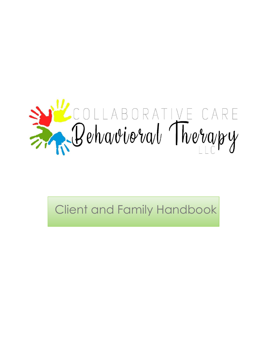

Client and Family Handbook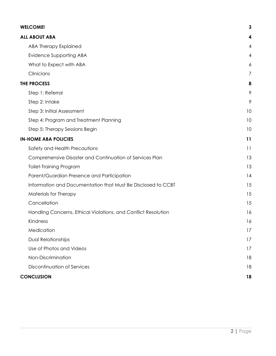| <b>WELCOME!</b>                                                | $\mathbf{3}$ |
|----------------------------------------------------------------|--------------|
| <b>ALL ABOUT ABA</b>                                           | 4            |
| <b>ABA Therapy Explained</b>                                   | 4            |
| Evidence Supporting ABA                                        | 4            |
| What to Expect with ABA                                        | 6            |
| Clinicians                                                     | 7            |
| <b>THE PROCESS</b>                                             | 8            |
| Step 1: Referral                                               | 9            |
| Step 2: Intake                                                 | 9            |
| Step 3: Initial Assessment                                     | 10           |
| Step 4: Program and Treatment Planning                         | 10           |
| Step 5: Therapy Sessions Begin                                 | 10           |
| <b>IN-HOME ABA POLICIES</b>                                    | 11           |
| Safety and Health Precautions                                  | 11           |
| Comprehensive Disaster and Continuation of Services Plan       | 13           |
| <b>Toilet-Training Program</b>                                 | 13           |
| Parent/Guardian Presence and Participation                     | 14           |
| Information and Documentation that Must Be Disclosed to CCBT   | 15           |
| Materials for Therapy                                          | 15           |
| Cancellation                                                   | 15           |
| Handling Concerns, Ethical Violations, and Conflict Resolution | 16           |
| Kindness                                                       | 16           |
| Medication                                                     | 17           |
| <b>Dual Relationships</b>                                      | 17           |
| Use of Photos and Videos                                       | 17           |
| Non-Discrimination                                             | 18           |
| Discontinuation of Services                                    | 18           |
| <b>CONCLUSION</b>                                              | 18           |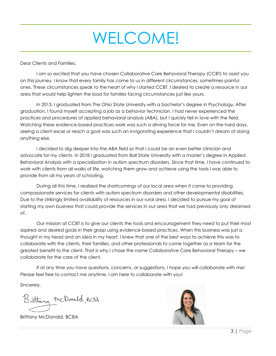# WELCOME!

<span id="page-2-0"></span>Dear Clients and Families,

I am so excited that you have chosen Collaborative Care Behavioral Therapy (CCBT) to assist you on this journey. I know that every family has come to us in different circumstances, sometimes painful ones. These circumstances speak to the heart of why I started CCBT. I desired to create a resource in our area that would help lighten the load for families facing circumstances just like yours.

In 2013, I graduated from The Ohio State University with a bachelor's degree in Psychology. After graduation, I found myself accepting a job as a behavior technician. I had never experienced the practices and procedures of applied behavioral analysis (ABA), but I quickly fell in love with the field. Watching these evidence-based practices work was such a driving force for me. Even on the hard days, seeing a client excel or reach a goal was such an invigorating experience that I couldn't dream of doing anything else.

I decided to dig deeper into the ABA field so that I could be an even better clinician and advocate for my clients. In 2018 I graduated from Ball State University with a master's degree in Applied Behavioral Analysis with a specialization in autism spectrum disorders. Since that time, I have continued to work with clients from all walks of life, watching them grow and achieve using the tools I was able to provide from all my years of schooling.

During all this time, I realized the shortcomings of our local area when it came to providing compassionate services for clients with autism spectrum disorders and other developmental disabilities. Due to the strikingly limited availability of resources in our rural area, I decided to pursue my goal of starting my own business that could provide the services in our area that we had previously only dreamed of.

Our mission at CCBT is to give our clients the tools and encouragement they need to put their most aspired and desired goals in their grasp using evidence-based practices. When this business was just a thought in my head and an idea in my heart, I knew that one of the best ways to achieve this was to collaborate with the clients, their families, and other professionals to come together as a team for the greatest benefit to the client. That is why I chose the name Collaborative Care Behavioral Therapy – we collaborate for the care of the client.

If at any time you have questions, concerns, or suggestions, I hope you will collaborate with me! Please feel free to contact me anytime. I am here to collaborate with you!

Sincerely,

Brittany McDanald, BCBA

Brittany McDonald, BCBA

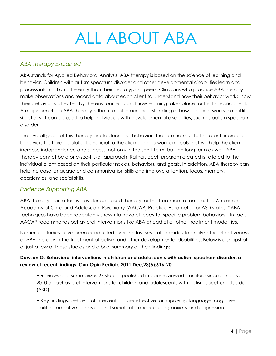# ALL ABOUT ABA

# <span id="page-3-1"></span><span id="page-3-0"></span>*ABA Therapy Explained*

ABA stands for Applied Behavioral Analysis. ABA therapy is based on the science of learning and behavior. Children with autism spectrum disorder and other developmental disabilities learn and process information differently than their neurotypical peers. Clinicians who practice ABA therapy make observations and record data about each client to understand how their behavior works, how their behavior is affected by the environment, and how learning takes place for that specific client. A major benefit to ABA therapy is that it applies our understanding of how behavior works to real life situations. It can be used to help individuals with developmental disabilities, such as autism spectrum disorder.

The overall goals of this therapy are to decrease behaviors that are harmful to the client, increase behaviors that are helpful or beneficial to the client, and to work on goals that will help the client increase independence and success, not only in the short term, but the long term as well. ABA therapy cannot be a one-size-fits-all approach. Rather, each program created is tailored to the individual client based on their particular needs, behaviors, and goals. In addition, ABA therapy can help increase language and communication skills and improve attention, focus, memory, academics, and social skills.

# <span id="page-3-2"></span>*Evidence Supporting ABA*

ABA therapy is an effective evidence-based therapy for the treatment of autism. The American Academy of Child and Adolescent Psychiatry (AACAP) Practice Parameter for ASD states, "ABA techniques have been repeatedly shown to have efficacy for specific problem behaviors." In fact, AACAP recommends behavioral interventions like ABA ahead of all other treatment modalities.

Numerous studies have been conducted over the last several decades to analyze the effectiveness of ABA therapy in the treatment of autism and other developmental disabilities. Below is a snapshot of just a few of those studies and a brief summary of their findings:

## **Dawson G. Behavioral interventions in children and adolescents with autism spectrum disorder: a review of recent findings. Curr Opin Pediatr. 2011 Dec;23(6):616-20.**

• Reviews and summarizes 27 studies published in peer-reviewed literature since January, 2010 on behavioral interventions for children and adolescents with autism spectrum disorder (ASD)

• Key findings: behavioral interventions are effective for improving language, cognitive abilities, adaptive behavior, and social skills, and reducing anxiety and aggression.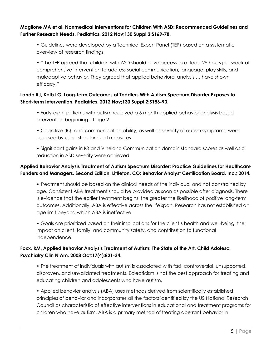#### **Maglione MA et al. Nonmedical Interventions for Children With ASD: Recommended Guidelines and Further Research Needs. Pediatrics. 2012 Nov;130 Suppl 2:S169-78.**

• Guidelines were developed by a Technical Expert Panel (TEP) based on a systematic overview of research findings

• "The TEP agreed that children with ASD should have access to at least 25 hours per week of comprehensive intervention to address social communication, language, play skills, and maladaptive behavior. They agreed that applied behavioral analysis … have shown efficacy."

### **Landa RJ, Kalb LG. Long-term Outcomes of Toddlers With Autism Spectrum Disorder Exposes to Short-term Intervention. Pediatrics. 2012 Nov;130 Suppl 2:S186-90.**

- Forty-eight patients with autism received a 6 month applied behavior analysis based intervention beginning at age 2
- Cognitive (IQ) and communication ability, as well as severity of autism symptoms, were assessed by using standardized measures
- Significant gains in IQ and Vineland Communication domain standard scores as well as a reduction in ASD severity were achieved

### **Applied Behavior Analysis Treatment of Autism Spectrum Disorder: Practice Guidelines for Healthcare Funders and Managers, Second Edition. Littleton, CO: Behavior Analyst Certification Board, Inc.; 2014.**

• Treatment should be based on the clinical needs of the individual and not constrained by age. Consistent ABA treatment should be provided as soon as possible after diagnosis. There is evidence that the earlier treatment begins, the greater the likelihood of positive long-term outcomes. Additionally, ABA is effective across the life span. Research has not established an age limit beyond which ABA is ineffective.

• Goals are prioritized based on their implications for the client's health and well-being, the impact on client, family, and community safety, and contribution to functional independence.

### **Foxx, RM. Applied Behavior Analysis Treatment of Autism: The State of the Art. Child Adolesc. Psychiatry Clin N Am. 2008 Oct;17(4):821-34.**

• The treatment of individuals with autism is associated with fad, controversial, unsupported, disproven, and unvalidated treatments. Eclecticism is not the best approach for treating and educating children and adolescents who have autism.

• Applied behavior analysis (ABA) uses methods derived from scientifically established principles of behavior and incorporates all the factors identified by the US National Research Council as characteristic of effective interventions in educational and treatment programs for children who have autism. ABA is a primary method of treating aberrant behavior in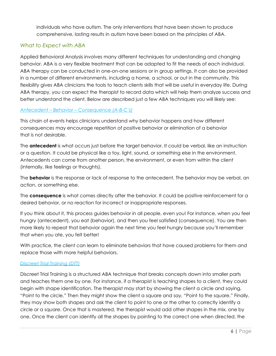individuals who have autism. The only interventions that have been shown to produce comprehensive, lasting results in autism have been based on the principles of ABA.

## <span id="page-5-0"></span>*What to Expect with ABA*

Applied Behavioral Analysis involves many different techniques for understanding and changing behavior. ABA is a very flexible treatment that can be adapted to fit the needs of each individual. ABA therapy can be conducted in one-on-one sessions or in group settings. It can also be provided in a number of different environments, including a home, a school, or out in the community. This flexibility gives ABA clinicians the tools to teach clients skills that will be useful in everyday life. During ABA therapy, you can expect the therapist to record data which will help them analyze success and better understand the client. Below are described just a few ABA techniques you will likely see:

#### *Antecedent – Behavior – Consequence (A-B-C's)*

This chain of events helps clinicians understand why behavior happens and how different consequences may encourage repetition of positive behavior or elimination of a behavior that is not desirable.

The **antecedent** is what occurs just before the target behavior. It could be verbal, like an instruction or a question. It could be physical like a toy, light, sound, or something else in the environment. Antecedents can come from another person, the environment, or even from within the client (internally, like feelings or thoughts).

The **behavior** is the response or lack of response to the antecedent. The behavior may be verbal, an action, or something else.

The **consequence** is what comes directly after the behavior. It could be positive reinforcement for a desired behavior, or no reaction for incorrect or inappropriate responses.

If you think about it, this process guides behavior in all people, even you! For instance, when you feel hungry (antecedent), you eat (behavior), and then you feel satisfied (consequence). You are then more likely to repeat that behavior again the next time you feel hungry because you'll remember that when you ate, you felt better!

With practice, the client can learn to eliminate behaviors that have caused problems for them and replace those with more helpful behaviors.

#### *Discreet Trial Training (DTT)*

Discreet Trial Training is a structured ABA technique that breaks concepts down into smaller parts and teaches them one by one. For instance, if a therapist is teaching shapes to a client, they could begin with shape identification. The therapist may start by showing the client a circle and saying, "Point to the circle." Then they might show the client a square and say, "Point to the square." Finally, they may show both shapes and ask the client to point to one or the other to correctly identify a circle or a square. Once that is mastered, the therapist would add other shapes in the mix, one by one. Once the client can identify all the shapes by pointing to the correct one when directed, the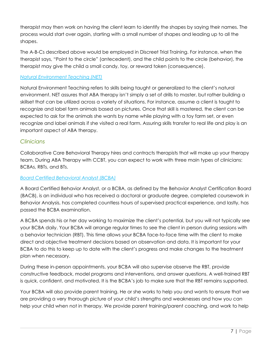therapist may then work on having the client learn to identify the shapes by saying their names. The process would start over again, starting with a small number of shapes and leading up to all the shapes.

The A-B-Cs described above would be employed in Discreet Trial Training. For instance, when the therapist says, "Point to the circle" (antecedent), and the child points to the circle (behavior), the therapist may give the child a small candy, toy, or reward token (consequence).

#### *Natural Environment Teaching (NET)*

Natural Environment Teaching refers to skills being taught or generalized to the client's natural environment. NET assures that ABA therapy isn't simply a set of drills to master, but rather building a skillset that can be utilized across a variety of situations. For instance, assume a client is taught to recognize and label farm animals based on pictures. Once that skill is mastered, the client can be expected to ask for the animals she wants by name while playing with a toy farm set, or even recognize and label animals if she visited a real farm. Assuring skills transfer to real life and play is an important aspect of ABA therapy.

### <span id="page-6-0"></span>*Clinicians*

Collaborative Care Behavioral Therapy hires and contracts therapists that will make up your therapy team. During ABA Therapy with CCBT, you can expect to work with three main types of clinicians: BCBAs, RBTs, and BTs.

#### *Board Certified Behavioral Analyst (BCBA)*

A Board Certified Behavior Analyst, or a BCBA, as defined by the Behavior Analyst Certification Board (BACB), is an individual who has received a doctoral or graduate degree, completed coursework in Behavior Analysis, has completed countless hours of supervised practical experience, and lastly, has passed the BCBA examination.

A BCBA spends his or her day working to maximize the client's potential, but you will not typically see your BCBA daily. Your BCBA will arrange regular times to see the client in person during sessions with a behavior technician (RBT). This time allows your BCBA face-to-face time with the client to make direct and objective treatment decisions based on observation and data. It is important for your BCBA to do this to keep up to date with the client's progress and make changes to the treatment plan when necessary.

During these in-person appointments, your BCBA will also supervise observe the RBT, provide constructive feedback, model programs and interventions, and answer questions. A well-trained RBT is quick, confident, and motivated. It is the BCBA's job to make sure that the RBT remains supported.

Your BCBA will also provide parent training. He or she works to help you and wants to ensure that we are providing a very thorough picture of your child's strengths and weaknesses and how you can help your child when not in therapy. We provide parent training/parent coaching, and work to help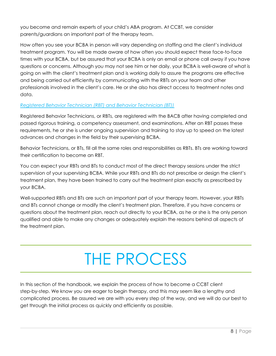you become and remain experts of your child's ABA program. At CCBT, we consider parents/guardians an important part of the therapy team.

How often you see your BCBA in person will vary depending on staffing and the client's individual treatment program. You will be made aware of how often you should expect these face-to-face times with your BCBA, but be assured that your BCBA is only an email or phone call away if you have questions or concerns. Although you may not see him or her daily, your BCBA is well-aware of what is going on with the client's treatment plan and is working daily to assure the programs are effective and being carried out efficiently by communicating with the RBTs on your team and other professionals involved in the client's care. He or she also has direct access to treatment notes and data.

## *Registered Behavior Technician (RBT) and Behavior Technician (BT))*

Registered Behavior Technicians, or RBTs, are registered with the BACB after having completed and passed rigorous training, a competency assessment, and examinations. After an RBT passes these requirements, he or she is under ongoing supervision and training to stay up to speed on the latest advances and changes in the field by their supervising BCBA.

Behavior Technicians, or BTs, fill all the same roles and responsibilities as RBTs. BTs are working toward their certification to become an RBT.

You can expect your RBTs and BTs to conduct most of the direct therapy sessions under the strict supervision of your supervising BCBA. While your RBTs and BTs do not prescribe or design the client's treatment plan, they have been trained to carry out the treatment plan exactly as prescribed by your BCBA.

Well-supported RBTs and BTs are such an important part of your therapy team. However, your RBTs and BTs cannot change or modify the client's treatment plan. Therefore, if you have concerns or questions about the treatment plan, reach out directly to your BCBA, as he or she is the only person qualified and able to make any changes or adequately explain the reasons behind all aspects of the treatment plan.

# THE PROCESS

<span id="page-7-0"></span>In this section of the handbook, we explain the process of how to become a CCBT client step-by-step. We know you are eager to begin therapy, and this may seem like a lengthy and complicated process. Be assured we are with you every step of the way, and we will do our best to get through the initial process as quickly and efficiently as possible.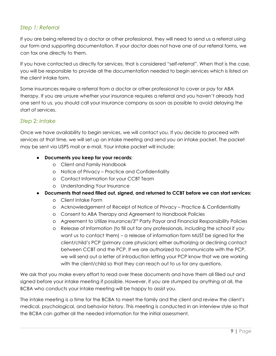# <span id="page-8-0"></span>*Step 1: Referral*

If you are being referred by a doctor or other professional, they will need to send us a referral using our form and supporting documentation. If your doctor does not have one of our referral forms, we can fax one directly to them.

If you have contacted us directly for services, that is considered "self-referral". When that is the case, you will be responsible to provide all the documentation needed to begin services which is listed on the client intake form.

Some insurances require a referral from a doctor or other professional to cover or pay for ABA therapy. If you are unsure whether your insurance requires a referral and you haven't already had one sent to us, you should call your insurance company as soon as possible to avoid delaying the start of services.

## <span id="page-8-1"></span>*Step 2: Intake*

Once we have availability to begin services, we will contact you. If you decide to proceed with services at that time, we will set up an intake meeting and send you an intake packet. The packet may be sent via USPS mail or e-mail. Your intake packet will include:

- **● Documents you keep for your records:**
	- o Client and Family Handbook
	- o Notice of Privacy Practice and Confidentiality
	- o Contact Information for your CCBT Team
	- o Understanding Your Insurance
- **● Documents that need filled out, signed, and returned to CCBT before we can start services:**
	- o Client Intake Form
	- o Acknowledgement of Receipt of Notice of Privacy Practice & Confidentiality
	- o Consent to ABA Therapy and Agreement to Handbook Policies
	- o Agreement to Utilize Insurance/3rd Party Payor and Financial Responsibility Policies
	- o Release of Information (to fill out for any professionals, including the school if you want us to contact them) – a release of information form MUST be signed for the client/child's PCP (primary care physician) either authorizing or declining contact between CCBT and the PCP. If we are authorized to communicate with the PCP, we will send out a letter of introduction letting your PCP know that we are working with the client/child so that they can reach out to us for any questions.

We ask that you make every effort to read over these documents and have them all filled out and signed before your intake meeting if possible. However, if you are stumped by anything at all, the BCBA who conducts your intake meeting will be happy to assist you.

The intake meeting is a time for the BCBA to meet the family and the client and review the client's medical, psychological, and behavior history. This meeting is conducted in an interview style so that the BCBA can gather all the needed information for the initial assessment.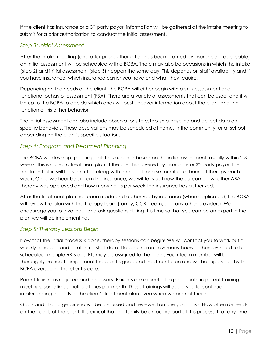If the client has insurance or a  $3<sup>rd</sup>$  party payor, information will be gathered at the intake meeting to submit for a prior authorization to conduct the initial assessment.

# <span id="page-9-0"></span>*Step 3: Initial Assessment*

After the intake meeting (and after prior authorization has been granted by insurance, if applicable) an initial assessment will be scheduled with a BCBA. There may also be occasions in which the intake (step 2) and initial assessment (step 3) happen the same day. This depends on staff availability and if you have insurance, which insurance carrier you have and what they require.

Depending on the needs of the client, the BCBA will either begin with a skills assessment or a functional behavior assessment (FBA). There are a variety of assessments that can be used, and it will be up to the BCBA to decide which ones will best uncover information about the client and the function of his or her behavior.

The initial assessment can also include observations to establish a baseline and collect data on specific behaviors. These observations may be scheduled at home, in the community, or at school depending on the client's specific situation.

# <span id="page-9-1"></span>*Step 4: Program and Treatment Planning*

The BCBA will develop specific goals for your child based on the initial assessment, usually within 2-3 weeks. This is called a treatment plan. If the client is covered by insurance or  $3<sup>rd</sup>$  party payor, the treatment plan will be submitted along with a request for a set number of hours of therapy each week. Once we hear back from the insurance, we will let you know the outcome – whether ABA therapy was approved and how many hours per week the insurance has authorized.

After the treatment plan has been made and authorized by insurance (when applicable), the BCBA will review the plan with the therapy team (family, CCBT team, and any other providers). We encourage you to give input and ask questions during this time so that you can be an expert in the plan we will be implementing.

# <span id="page-9-2"></span>*Step 5: Therapy Sessions Begin*

Now that the initial process is done, therapy sessions can begin! We will contact you to work out a weekly schedule and establish a start date. Depending on how many hours of therapy need to be scheduled, multiple RBTs and BTs may be assigned to the client. Each team member will be thoroughly trained to implement the client's goals and treatment plan and will be supervised by the BCBA overseeing the client's care.

Parent training is required and necessary. Parents are expected to participate in parent training meetings, sometimes multiple times per month. These trainings will equip you to continue implementing aspects of the client's treatment plan even when we are not there.

Goals and discharge criteria will be discussed and reviewed on a regular basis. How often depends on the needs of the client. It is critical that the family be an active part of this process. If at any time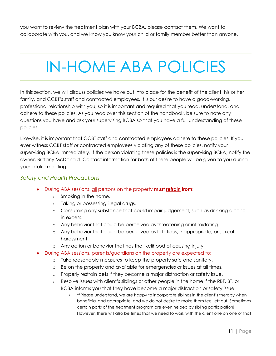you want to review the treatment plan with your BCBA, please contact them. We want to collaborate with you, and we know you know your child or family member better than anyone.

# <span id="page-10-0"></span>IN-HOME ABA POLICIES

In this section, we will discuss policies we have put into place for the benefit of the client, his or her family, and CCBT's staff and contracted employees. It is our desire to have a good-working, professional relationship with you, so it is important and required that you read, understand, and adhere to these policies. As you read over this section of the handbook, be sure to note any questions you have and ask your supervising BCBA so that you have a full understanding of these policies.

Likewise, it is important that CCBT staff and contracted employees adhere to these policies. If you ever witness CCBT staff or contracted employees violating any of these policies, notify your supervising BCBA immediately. If the person violating these policies is the supervising BCBA, notify the owner, Brittany McDonald. Contact information for both of these people will be given to you during your intake meeting.

#### <span id="page-10-1"></span>*Safety and Health Precautions*

- During ABA sessions, all persons on the property **must refrain from**:
	- o Smoking in the home.
	- o Taking or possessing illegal drugs.
	- o Consuming any substance that could impair judgement, such as drinking alcohol in excess.
	- o Any behavior that could be perceived as threatening or intimidating.
	- o Any behavior that could be perceived as flirtatious, inappropriate, or sexual harassment.
	- o Any action or behavior that has the likelihood of causing injury.
- During ABA sessions, parents/guardians on the property are expected to:
	- o Take reasonable measures to keep the property safe and sanitary.
	- o Be on the property and available for emergencies or issues at all times.
	- o Properly restrain pets if they become a major distraction or safety issue.
	- o Resolve issues with client's siblings or other people in the home if the RBT, BT, or BCBA informs you that they have become a major distraction or safety issue.
		- \*\*Please understand, we are happy to incorporate siblings in the client's therapy when beneficial and appropriate, and we do not desire to make them feel left out. Sometimes certain parts of the treatment program are even helped by sibling participation! However, there will also be times that we need to work with the client one on one or that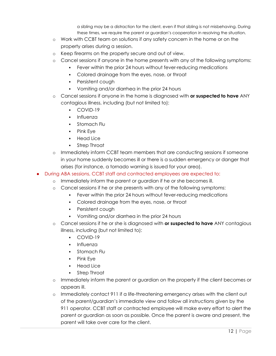a sibling may be a distraction for the client, even if that sibling is not misbehaving. During these times, we require the parent or guardian's cooperation in resolving the situation.

- o Work with CCBT team on solutions if any safety concern in the home or on the property arises during a session.
- o Keep firearms on the property secure and out of view.
- o Cancel sessions if anyone in the home presents with any of the following symptoms:
	- Fever within the prior 24 hours without fever-reducing medications
	- Colored drainage from the eyes, nose, or throat
	- **•** Persistent cough
	- Vomiting and/or diarrhea in the prior 24 hours
- o Cancel sessions if anyone in the home is diagnosed with **or suspected to have** ANY contagious illness, including (but not limited to):
	- COVID-19
	- Influenza
	- **•** Stomach Flu
	- Pink Eye
	- Head Lice
	- Strep Throat
- o Immediately inform CCBT team members that are conducting sessions if someone in your home suddenly becomes ill or there is a sudden emergency or danger that arises (for instance, a tornado warning is issued for your area).
- During ABA sessions, CCBT staff and contracted employees are expected to:
	- o Immediately inform the parent or guardian if he or she becomes ill.
	- o Cancel sessions if he or she presents with any of the following symptoms:
		- **•** Fever within the prior 24 hours without fever-reducing medications
		- Colored drainage from the eyes, nose, or throat
		- Persistent cough
		- Vomiting and/or diarrhea in the prior 24 hours
	- o Cancel sessions if he or she is diagnosed with **or suspected to have** ANY contagious illness, including (but not limited to):
		- COVID-19
		- $Influenza$
		- Stomach Flu
		- Pink Eye
		- **Head Lice**
		- Strep Throat
	- o Immediately inform the parent or guardian on the property if the client becomes or appears ill.
	- o Immediately contact 911 if a life-threatening emergency arises with the client out of the parent/guardian's immediate view and follow all instructions given by the 911 operator. CCBT staff or contracted employee will make every effort to alert the parent or guardian as soon as possible. Once the parent is aware and present, the parent will take over care for the client.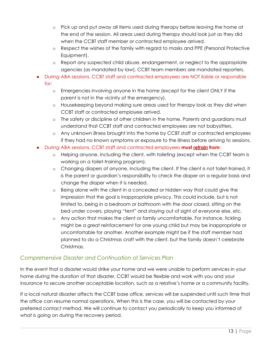- o Pick up and put away all items used during therapy before leaving the home at the end of the session. All areas used during therapy should look just as they did when the CCBT staff member or contracted employee arrived.
- o Respect the wishes of the family with regard to masks and PPE (Personal Protective Equipment).
- o Report any suspected child abuse, endangerment, or neglect to the appropriate agencies (as mandated by law). CCBT team members are mandated reporters.
- During ABA sessions, CCBT staff and contracted employees are NOT liable or responsible for:
	- o Emergencies involving anyone in the home (except for the client ONLY if the parent is not in the vicinity of the emergency).
	- o Housekeeping beyond making sure areas used for therapy look as they did when CCBT staff or contracted employee arrived.
	- o The safety or discipline of other children in the home. Parents and guardians must understand that CCBT staff and contracted employees are not babysitters.
	- o Any unknown illness brought into the home by CCBT staff or contracted employees if they had no known symptoms or exposure to the illness before arriving to sessions.
- During ABA sessions, CCBT staff and contracted employees **must refrain from**:
	- o Helping anyone, including the client, with toileting (except when the CCBT team is working on a toilet-training program).
	- o Changing diapers of anyone, including the client. If the client is not toilet-trained, it is the parent or guardian's responsibility to check the diaper on a regular basis and change the diaper when it is needed.
	- o Being alone with the client in a concealed or hidden way that could give the impression that the goal is inappropriate privacy. This could include, but is not limited to, being in a bedroom or bathroom with the door closed, sitting on the bed under covers, playing "tent" and staying out of sight of everyone else, etc.
	- o Any action that makes the client or family uncomfortable. For instance, tickling might be a great reinforcement for one young child but may be inappropriate or uncomfortable for another. Another example might be if the staff member had planned to do a Christmas craft with the client, but the family doesn't celebrate Christmas.

# <span id="page-12-0"></span>*Comprehensive Disaster and Continuation of Services Plan*

In the event that a disaster would strike your home and we were unable to perform services in your home during the duration of that disaster, CCBT would be flexible and work with you and your insurance to secure another acceptable location, such as a relative's home or a community facility.

If a local natural disaster affects the CCBT base office, services will be suspended until such time that the office can resume normal operations. When this is the case, you will be contacted by your preferred contact method. We will continue to contact you periodically to keep you informed of what is going on during the recovery period.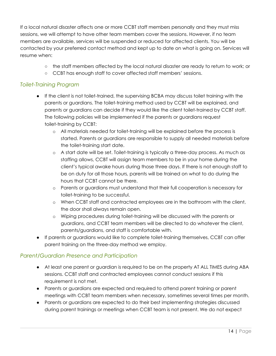If a local natural disaster affects one or more CCBT staff members personally and they must miss sessions, we will attempt to have other team members cover the sessions. However, if no team members are available, services will be suspended or reduced for affected clients. You will be contacted by your preferred contact method and kept up to date on what is going on. Services will resume when:

- the staff members affected by the local natural disaster are ready to return to work; or
- CCBT has enough staff to cover affected staff members' sessions.

#### <span id="page-13-0"></span>*Toilet-Training Program*

- If the client is not toilet-trained, the supervising BCBA may discuss toilet training with the parents or guardians. The toilet-training method used by CCBT will be explained, and parents or guardians can decide if they would like the client toilet-trained by CCBT staff. The following policies will be implemented if the parents or guardians request toilet-training by CCBT:
	- o All materials needed for toilet-training will be explained before the process is started. Parents or guardians are responsible to supply all needed materials before the toilet-training start date.
	- o A start date will be set. Toilet-training is typically a three-day process. As much as staffing allows, CCBT will assign team members to be in your home during the client's typical awake hours during those three days. If there is not enough staff to be on duty for all those hours, parents will be trained on what to do during the hours that CCBT cannot be there.
	- o Parents or guardians must understand that their full cooperation is necessary for toilet-training to be successful.
	- o When CCBT staff and contracted employees are in the bathroom with the client, the door shall always remain open.
	- o Wiping procedures during toilet-training will be discussed with the parents or guardians, and CCBT team members will be directed to do whatever the client, parents/guardians, and staff is comfortable with.
- If parents or guardians would like to complete toilet-training themselves, CCBT can offer parent training on the three-day method we employ.

### <span id="page-13-1"></span>*Parent/Guardian Presence and Participation*

- At least one parent or guardian is required to be on the property AT ALL TIMES during ABA sessions. CCBT staff and contracted employees cannot conduct sessions if this requirement is not met.
- Parents or guardians are expected and required to attend parent training or parent meetings with CCBT team members when necessary, sometimes several times per month.
- Parents or guardians are expected to do their best implementing strategies discussed during parent trainings or meetings when CCBT team is not present. We do not expect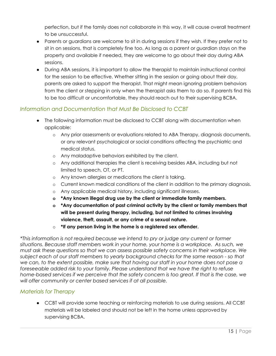perfection, but if the family does not collaborate in this way, it will cause overall treatment to be unsuccessful.

- Parents or guardians are welcome to sit in during sessions if they wish. If they prefer not to sit in on sessions, that is completely fine too. As long as a parent or guardian stays on the property and available if needed, they are welcome to go about their day during ABA sessions.
- During ABA sessions, it is important to allow the therapist to maintain instructional control for the session to be effective. Whether sitting in the session or going about their day, parents are asked to support the therapist. That might mean ignoring problem behaviors from the client or stepping in only when the therapist asks them to do so. If parents find this to be too difficult or uncomfortable, they should reach out to their supervising BCBA.

# <span id="page-14-0"></span>*Information and Documentation that Must Be Disclosed to CCBT*

- The following information must be disclosed to CCBT along with documentation when applicable:
	- o Any prior assessments or evaluations related to ABA Therapy, diagnosis documents, or any relevant psychological or social conditions affecting the psychiatric and medical status.
	- o Any maladaptive behaviors exhibited by the client.
	- o Any additional therapies the client is receiving besides ABA, including but not limited to speech, OT, or PT.
	- o Any known allergies or medications the client is taking.
	- o Current known medical conditions of the client in addition to the primary diagnosis.
	- o Any applicable medical history, including significant illnesses.
	- **o \*Any known illegal drug use by the client or immediate family members.**
	- **o \*Any documentation of past criminal activity by the client or family members that will be present during therapy, including, but not limited to crimes involving violence, theft, assault, or any crime of a sexual nature.**
	- o **\*If any person living in the home is a registered sex offender.**

*\*This information is not required because we intend to pry or judge any current or former situations. Because staff members work in your home, your home is a workplace. As such, we must ask these questions so that we can assess possible safety concerns in their workplace. We subject each of our staff members to yearly background checks for the same reason - so that* we can, to the extent possible, make sure that having our staff in your home does not pose a *foreseeable added risk to your family. Please understand that we have the right to refuse home-based services if we perceive that the safety concern is too great. If that is the case, we will offer community or center based services if at all possible.*

### <span id="page-14-1"></span>*Materials for Therapy*

● CCBT will provide some teaching or reinforcing materials to use during sessions. All CCBT materials will be labeled and should not be left in the home unless approved by supervising BCBA.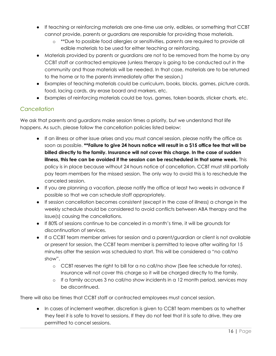- If teaching or reinforcing materials are one-time use only, edibles, or something that CCBT cannot provide, parents or guardians are responsible for providing those materials.
	- o \*\*Due to possible food allergies or sensitivities, parents are required to provide all edible materials to be used for either teaching or reinforcing.
- Materials provided by parents or quardians are not to be removed from the home by any CCBT staff or contracted employee (unless therapy is going to be conducted out in the community and those materials will be needed. In that case, materials are to be returned to the home or to the parents immediately after the session.)
- Examples of teaching materials could be curriculum, books, blocks, games, picture cards, food, lacing cards, dry erase board and markers, etc.
- Examples of reinforcing materials could be toys, games, token boards, sticker charts, etc.

## <span id="page-15-0"></span>*Cancellation*

We ask that parents and guardians make session times a priority, but we understand that life happens. As such, please follow the cancellation policies listed below:

- If an illness or other issue arises and you must cancel session, please notify the office as soon as possible. **\*\*Failure to give 24 hours notice will result in a \$15 office fee that will be billed directly to the family. Insurance will not cover this charge. In the case of sudden illness, this fee can be avoided if the session can be rescheduled in that same week.** This policy is in place because without 24 hours notice of cancellation, CCBT must still partially pay team members for the missed session. The only way to avoid this is to reschedule the canceled session.
- If you are planning a vacation, please notify the office at least two weeks in advance if possible so that we can schedule staff appropriately.
- If session cancellation becomes consistent (except in the case of illness) a change in the weekly schedule should be considered to avoid conflicts between ABA therapy and the issue(s) causing the cancellations.
- If 80% of sessions continue to be canceled in a month's time, it will be grounds for discontinuation of services.
- If a CCBT team member arrives for session and a parent/guardian or client is not available or present for session, the CCBT team member is permitted to leave after waiting for 15 minutes after the session was scheduled to start. This will be considered a "no call/no show".
	- o CCBT reserves the right to bill for a no call/no show (See fee schedule for rates). Insurance will not cover this charge so it will be charged directly to the family.
	- o If a family accrues 3 no call/no show incidents in a 12 month period, services may be discontinued.

There will also be times that CCBT staff or contracted employees must cancel session.

• In cases of inclement weather, discretion is given to CCBT team members as to whether they feel it is safe to travel to sessions. If they do not feel that it is safe to drive, they are permitted to cancel sessions.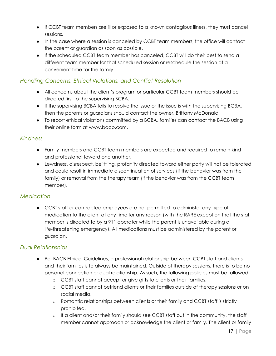- If CCBT team members are ill or exposed to a known contagious illness, they must cancel sessions.
- In the case where a session is canceled by CCBT team members, the office will contact the parent or guardian as soon as possible.
- If the scheduled CCBT team member has canceled, CCBT will do their best to send a different team member for that scheduled session or reschedule the session at a convenient time for the family.

## <span id="page-16-0"></span>*Handling Concerns, Ethical Violations, and Conflict Resolution*

- All concerns about the client's program or particular CCBT team members should be directed first to the supervising BCBA.
- If the supervising BCBA fails to resolve the issue or the issue is with the supervising BCBA, then the parents or guardians should contact the owner, Brittany McDonald.
- To report ethical violations committed by a BCBA, families can contact the BACB using their online form at www.bacb.com.

### <span id="page-16-1"></span>*Kindness*

- Family members and CCBT team members are expected and required to remain kind and professional toward one another.
- Lewdness, disrespect, belittling, profanity directed toward either party will not be tolerated and could result in immediate discontinuation of services (if the behavior was from the family) or removal from the therapy team (if the behavior was from the CCBT team member).

# <span id="page-16-2"></span>*Medication*

● CCBT staff or contracted employees are not permitted to administer any type of medication to the client at any time for any reason (with the RARE exception that the staff member is directed to by a 911 operator while the parent is unavailable during a life-threatening emergency). All medications must be administered by the parent or guardian.

# <span id="page-16-3"></span>*Dual Relationships*

- Per BACB Ethical Guidelines, a professional relationship between CCBT staff and clients and their families is to always be maintained. Outside of therapy sessions, there is to be no personal connection or dual relationship. As such, the following policies must be followed:
	- o CCBT staff cannot accept or give gifts to clients or their families.
	- o CCBT staff cannot befriend clients or their families outside of therapy sessions or on social media.
	- o Romantic relationships between clients or their family and CCBT staff is strictly prohibited.
	- o If a client and/or their family should see CCBT staff out in the community, the staff member cannot approach or acknowledge the client or family. The client or family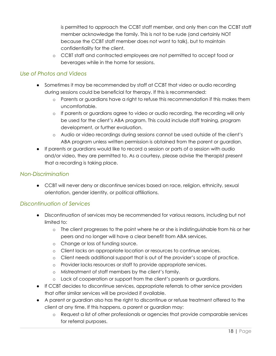is permitted to approach the CCBT staff member, and only then can the CCBT staff member acknowledge the family. This is not to be rude (and certainly NOT because the CCBT staff member does not want to talk), but to maintain confidentiality for the client.

o CCBT staff and contracted employees are not permitted to accept food or beverages while in the home for sessions.

# <span id="page-17-0"></span>*Use of Photos and Videos*

- Sometimes it may be recommended by staff at CCBT that video or audio recording during sessions could be beneficial for therapy. If this is recommended:
	- o Parents or guardians have a right to refuse this recommendation if this makes them uncomfortable.
	- o If parents or guardians agree to video or audio recording, the recording will only be used for the client's ABA program. This could include staff training, program development, or further evaluation.
	- o Audio or video recordings during sessions cannot be used outside of the client's ABA program unless written permission is obtained from the parent or guardian.
- If parents or guardians would like to record a session or parts of a session with audio and/or video, they are permitted to. As a courtesy, please advise the therapist present that a recording is taking place.

#### <span id="page-17-1"></span>*Non-Discrimination*

● CCBT will never deny or discontinue services based on race, religion, ethnicity, sexual orientation, gender identity, or political affiliations.

### <span id="page-17-2"></span>*Discontinuation of Services*

- Discontinuation of services may be recommended for various reasons, including but not limited to:
	- o The client progresses to the point where he or she is indistinguishable from his or her peers and no longer will have a clear benefit from ABA services.
	- o Change or loss of funding source.
	- o Client lacks an appropriate location or resources to continue services.
	- o Client needs additional support that is out of the provider's scope of practice.
	- o Provider lacks resources or staff to provide appropriate services.
	- o Mistreatment of staff members by the client's family.
	- o Lack of cooperation or support from the client's parents or guardians.
- If CCBT decides to discontinue services, appropriate referrals to other service providers that offer similar services will be provided if available.
- A parent or guardian also has the right to discontinue or refuse treatment offered to the client at any time. If this happens, a parent or guardian may:
	- o Request a list of other professionals or agencies that provide comparable services for referral purposes.